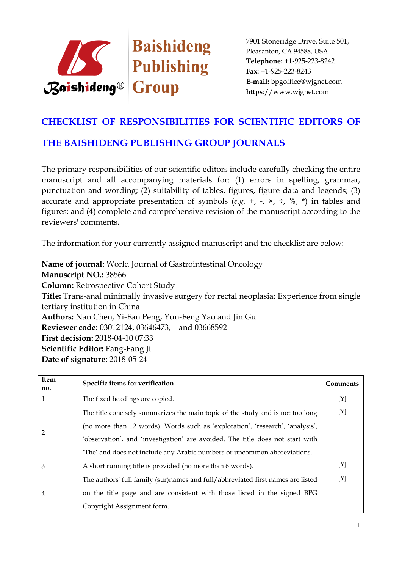

## **CHECKLIST OF RESPONSIBILITIES FOR SCIENTIFIC EDITORS OF**

## **THE BAISHIDENG PUBLISHING GROUP JOURNALS**

The primary responsibilities of our scientific editors include carefully checking the entire manuscript and all accompanying materials for: (1) errors in spelling, grammar, punctuation and wording; (2) suitability of tables, figures, figure data and legends; (3) accurate and appropriate presentation of symbols  $(e.g. +, -, \times, \div, \%$ ,  $*)$  in tables and figures; and (4) complete and comprehensive revision of the manuscript according to the reviewers' comments.

The information for your currently assigned manuscript and the checklist are below:

**Name of journal:** World Journal of Gastrointestinal Oncology **Manuscript NO.:** 38566 **Column:** Retrospective Cohort Study **Title:** Trans-anal minimally invasive surgery for rectal neoplasia: Experience from single tertiary institution in China **Authors:** Nan Chen, Yi-Fan Peng, Yun-Feng Yao and Jin Gu **Reviewer code:** 03012124, 03646473, and 03668592 **First decision:** 2018-04-10 07:33 **Scientific Editor:** Fang-Fang Ji **Date of signature:** 2018-05-24

| Item<br>no. | Specific items for verification                                                 | Comments    |
|-------------|---------------------------------------------------------------------------------|-------------|
|             | The fixed headings are copied.                                                  | [Y]         |
| 2           | The title concisely summarizes the main topic of the study and is not too long  | $[{\rm Y}]$ |
|             | (no more than 12 words). Words such as 'exploration', 'research', 'analysis',   |             |
|             | 'observation', and 'investigation' are avoided. The title does not start with   |             |
|             | 'The' and does not include any Arabic numbers or uncommon abbreviations.        |             |
| 3           | A short running title is provided (no more than 6 words).                       | [Y]         |
| 4           | The authors' full family (sur)names and full/abbreviated first names are listed | [Y]         |
|             | on the title page and are consistent with those listed in the signed BPG        |             |
|             | Copyright Assignment form.                                                      |             |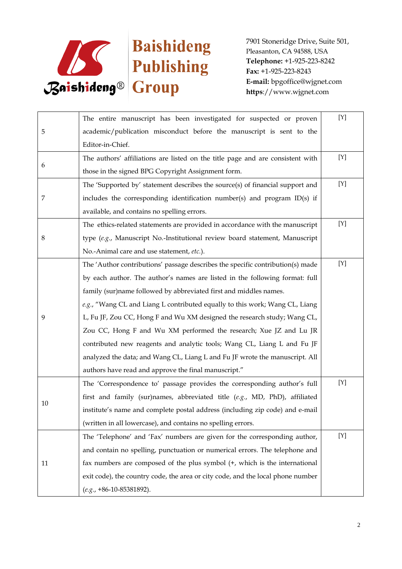

| 5      | The entire manuscript has been investigated for suspected or proven             | [Y]         |
|--------|---------------------------------------------------------------------------------|-------------|
|        | academic/publication misconduct before the manuscript is sent to the            |             |
|        | Editor-in-Chief.                                                                |             |
|        | The authors' affiliations are listed on the title page and are consistent with  | [Y]         |
| 6      | those in the signed BPG Copyright Assignment form.                              |             |
|        | The 'Supported by' statement describes the source(s) of financial support and   | [Y]         |
| 7      | includes the corresponding identification number(s) and program ID(s) if        |             |
|        | available, and contains no spelling errors.                                     |             |
|        | The ethics-related statements are provided in accordance with the manuscript    | $[{\rm Y}]$ |
| 8      | type (e.g., Manuscript No.-Institutional review board statement, Manuscript     |             |
|        | No.-Animal care and use statement, etc.).                                       |             |
|        | The 'Author contributions' passage describes the specific contribution(s) made  | $[{\rm Y}]$ |
|        | by each author. The author's names are listed in the following format: full     |             |
|        | family (sur)name followed by abbreviated first and middles names.               |             |
|        | e.g., "Wang CL and Liang L contributed equally to this work; Wang CL, Liang     |             |
| 9      | L, Fu JF, Zou CC, Hong F and Wu XM designed the research study; Wang CL,        |             |
|        | Zou CC, Hong F and Wu XM performed the research; Xue JZ and Lu JR               |             |
|        | contributed new reagents and analytic tools; Wang CL, Liang L and Fu JF         |             |
|        | analyzed the data; and Wang CL, Liang L and Fu JF wrote the manuscript. All     |             |
|        | authors have read and approve the final manuscript."                            |             |
| $10\,$ | The 'Correspondence to' passage provides the corresponding author's full        | [Y]         |
|        | first and family (sur)names, abbreviated title (e.g., MD, PhD), affiliated      |             |
|        | institute's name and complete postal address (including zip code) and e-mail    |             |
|        | (written in all lowercase), and contains no spelling errors.                    |             |
| 11     | The 'Telephone' and 'Fax' numbers are given for the corresponding author,       | [Y]         |
|        | and contain no spelling, punctuation or numerical errors. The telephone and     |             |
|        | fax numbers are composed of the plus symbol (+, which is the international      |             |
|        | exit code), the country code, the area or city code, and the local phone number |             |
|        | $(e.g., +86-10-85381892).$                                                      |             |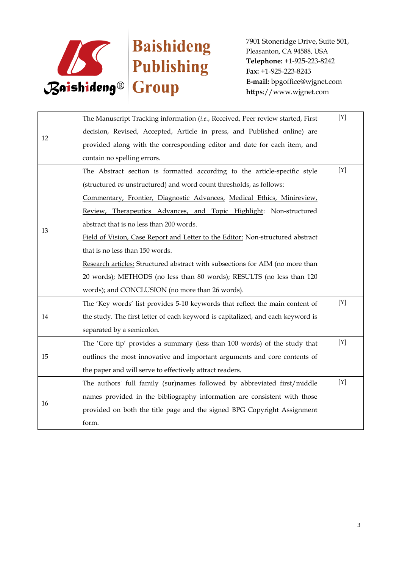

| 12 | The Manuscript Tracking information (i.e., Received, Peer review started, First | $[Y]$ |
|----|---------------------------------------------------------------------------------|-------|
|    | decision, Revised, Accepted, Article in press, and Published online) are        |       |
|    | provided along with the corresponding editor and date for each item, and        |       |
|    | contain no spelling errors.                                                     |       |
|    | The Abstract section is formatted according to the article-specific style       | [Y]   |
|    | (structured vs unstructured) and word count thresholds, as follows:             |       |
|    | Commentary, Frontier, Diagnostic Advances, Medical Ethics, Minireview,          |       |
|    | Review, Therapeutics Advances, and Topic Highlight: Non-structured              |       |
| 13 | abstract that is no less than 200 words.                                        |       |
|    | Field of Vision, Case Report and Letter to the Editor: Non-structured abstract  |       |
|    | that is no less than 150 words.                                                 |       |
|    | Research articles: Structured abstract with subsections for AIM (no more than   |       |
|    | 20 words); METHODS (no less than 80 words); RESULTS (no less than 120           |       |
|    | words); and CONCLUSION (no more than 26 words).                                 |       |
|    | The 'Key words' list provides 5-10 keywords that reflect the main content of    | [Y]   |
| 14 | the study. The first letter of each keyword is capitalized, and each keyword is |       |
|    | separated by a semicolon.                                                       |       |
| 15 | The 'Core tip' provides a summary (less than 100 words) of the study that       | [Y]   |
|    | outlines the most innovative and important arguments and core contents of       |       |
|    | the paper and will serve to effectively attract readers.                        |       |
| 16 | The authors' full family (sur)names followed by abbreviated first/middle        | [Y]   |
|    | names provided in the bibliography information are consistent with those        |       |
|    | provided on both the title page and the signed BPG Copyright Assignment         |       |
|    | form.                                                                           |       |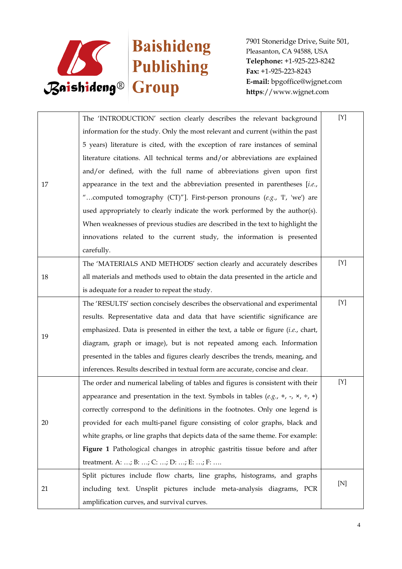

|    | The 'INTRODUCTION' section clearly describes the relevant background                           | $[{\rm Y}]$ |
|----|------------------------------------------------------------------------------------------------|-------------|
| 17 | information for the study. Only the most relevant and current (within the past                 |             |
|    | 5 years) literature is cited, with the exception of rare instances of seminal                  |             |
|    | literature citations. All technical terms and/or abbreviations are explained                   |             |
|    | and/or defined, with the full name of abbreviations given upon first                           |             |
|    | appearance in the text and the abbreviation presented in parentheses $[i.e.,$                  |             |
|    | "computed tomography (CT)"]. First-person pronouns (e.g., 'I', 'we') are                       |             |
|    | used appropriately to clearly indicate the work performed by the author(s).                    |             |
|    | When weaknesses of previous studies are described in the text to highlight the                 |             |
|    | innovations related to the current study, the information is presented                         |             |
|    | carefully.                                                                                     |             |
|    | The 'MATERIALS AND METHODS' section clearly and accurately describes                           | [Y]         |
| 18 | all materials and methods used to obtain the data presented in the article and                 |             |
|    | is adequate for a reader to repeat the study.                                                  |             |
|    | The 'RESULTS' section concisely describes the observational and experimental                   | [Y]         |
|    | results. Representative data and data that have scientific significance are                    |             |
| 19 | emphasized. Data is presented in either the text, a table or figure (i.e., chart,              |             |
|    | diagram, graph or image), but is not repeated among each. Information                          |             |
|    | presented in the tables and figures clearly describes the trends, meaning, and                 |             |
| 20 | inferences. Results described in textual form are accurate, concise and clear.                 |             |
|    | The order and numerical labeling of tables and figures is consistent with their                | $[Y]$       |
|    | appearance and presentation in the text. Symbols in tables (e.g., +, -, $\times$ , $\div$ , *) |             |
|    | correctly correspond to the definitions in the footnotes. Only one legend is                   |             |
|    | provided for each multi-panel figure consisting of color graphs, black and                     |             |
|    | white graphs, or line graphs that depicts data of the same theme. For example:                 |             |
|    | Figure 1 Pathological changes in atrophic gastritis tissue before and after                    |             |
|    | treatment. A: ; B: ; C: ; D: ; E: ; F:                                                         |             |
| 21 | Split pictures include flow charts, line graphs, histograms, and graphs                        |             |
|    | including text. Unsplit pictures include meta-analysis diagrams, PCR                           | [N]         |
|    | amplification curves, and survival curves.                                                     |             |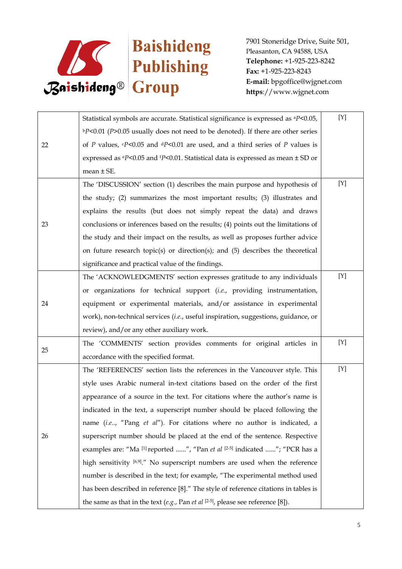

| 22 | Statistical symbols are accurate. Statistical significance is expressed as <sup>a</sup> P<0.05,    | [Y] |
|----|----------------------------------------------------------------------------------------------------|-----|
|    | $bP<0.01$ (P>0.05 usually does not need to be denoted). If there are other series                  |     |
|    | of P values, $\epsilon P$ <0.05 and $\epsilon P$ <0.01 are used, and a third series of P values is |     |
|    | expressed as $eP<0.05$ and $P<0.01$ . Statistical data is expressed as mean $\pm$ SD or            |     |
|    | mean $\pm$ SE.                                                                                     |     |
|    | The 'DISCUSSION' section (1) describes the main purpose and hypothesis of                          | [Y] |
|    | the study; (2) summarizes the most important results; (3) illustrates and                          |     |
|    | explains the results (but does not simply repeat the data) and draws                               |     |
| 23 | conclusions or inferences based on the results; (4) points out the limitations of                  |     |
|    | the study and their impact on the results, as well as proposes further advice                      |     |
|    | on future research topic(s) or direction(s); and (5) describes the theoretical                     |     |
|    | significance and practical value of the findings.                                                  |     |
|    | The 'ACKNOWLEDGMENTS' section expresses gratitude to any individuals                               | [Y] |
|    | or organizations for technical support (i.e., providing instrumentation,                           |     |
| 24 | equipment or experimental materials, and/or assistance in experimental                             |     |
|    | work), non-technical services (i.e., useful inspiration, suggestions, guidance, or                 |     |
|    | review), and/or any other auxiliary work.                                                          |     |
|    | The 'COMMENTS' section provides comments for original articles in                                  | [Y] |
| 25 | accordance with the specified format.                                                              |     |
|    | The 'REFERENCES' section lists the references in the Vancouver style. This                         | [Y] |
| 26 | style uses Arabic numeral in-text citations based on the order of the first                        |     |
|    | appearance of a source in the text. For citations where the author's name is                       |     |
|    | indicated in the text, a superscript number should be placed following the                         |     |
|    | name (i.e, "Pang et al"). For citations where no author is indicated, a                            |     |
|    | superscript number should be placed at the end of the sentence. Respective                         |     |
|    | examples are: "Ma [1] reported ", "Pan et al [2-5] indicated "; "PCR has a                         |     |
|    | high sensitivity [6,9]." No superscript numbers are used when the reference                        |     |
|    | number is described in the text; for example, "The experimental method used                        |     |
|    | has been described in reference [8]." The style of reference citations in tables is                |     |
|    | the same as that in the text (e.g., Pan et al $[2-5]$ , please see reference [8]).                 |     |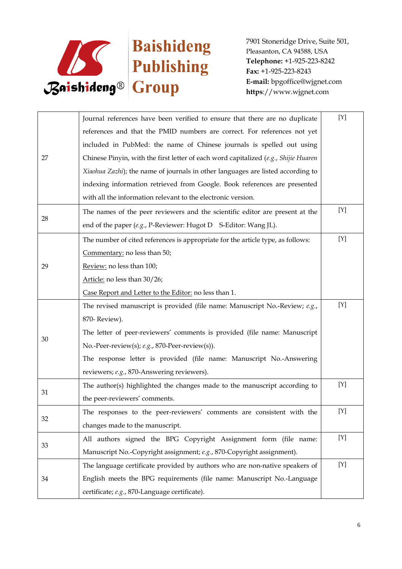

|    | Journal references have been verified to ensure that there are no duplicate         | [Y] |
|----|-------------------------------------------------------------------------------------|-----|
|    | references and that the PMID numbers are correct. For references not yet            |     |
|    | included in PubMed: the name of Chinese journals is spelled out using               |     |
| 27 | Chinese Pinyin, with the first letter of each word capitalized (e.g., Shijie Huaren |     |
|    | Xiaohua Zazhi); the name of journals in other languages are listed according to     |     |
|    | indexing information retrieved from Google. Book references are presented           |     |
|    | with all the information relevant to the electronic version.                        |     |
|    | The names of the peer reviewers and the scientific editor are present at the        | [Y] |
| 28 | end of the paper (e.g., P-Reviewer: Hugot D  S-Editor: Wang JL).                    |     |
|    | The number of cited references is appropriate for the article type, as follows:     | [Y] |
|    | Commentary: no less than 50;                                                        |     |
| 29 | Review: no less than 100;                                                           |     |
|    | Article: no less than 30/26;                                                        |     |
|    | Case Report and Letter to the Editor: no less than 1.                               |     |
|    | The revised manuscript is provided (file name: Manuscript No.-Review; e.g.,         | [Y] |
|    | 870-Review).                                                                        |     |
| 30 | The letter of peer-reviewers' comments is provided (file name: Manuscript           |     |
|    | No.-Peer-review(s); e.g., 870-Peer-review(s)).                                      |     |
|    | The response letter is provided (file name: Manuscript No.-Answering                |     |
|    | reviewers; e.g., 870-Answering reviewers).                                          |     |
|    | The author(s) highlighted the changes made to the manuscript according to           | [Y] |
| 31 | the peer-reviewers' comments.                                                       |     |
|    | The responses to the peer-reviewers' comments are consistent with the               | [Y] |
| 32 | changes made to the manuscript.                                                     |     |
| 33 | All authors signed the BPG Copyright Assignment form (file name:                    | [Y] |
|    | Manuscript No.-Copyright assignment; e.g., 870-Copyright assignment).               |     |
| 34 | The language certificate provided by authors who are non-native speakers of         | [Y] |
|    | English meets the BPG requirements (file name: Manuscript No.-Language              |     |
|    | certificate; e.g., 870-Language certificate).                                       |     |